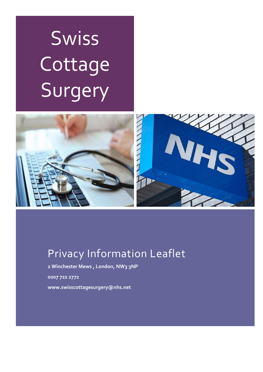# **Swiss** Cottage Surgery



# Privacy Information Leaflet

**2 Winchester Mews , London, NW3 3NP** 

**0207 722 2772** 

**www.swisscottagesurgery@nhs.net**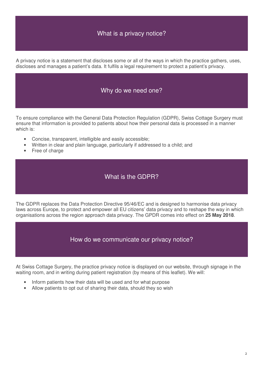### What is a privacy notice?

A privacy notice is a statement that discloses some or all of the ways in which the practice gathers, uses, discloses and manages a patient's data. It fulfils a legal requirement to protect a patient's privacy.

#### Why do we need one?

To ensure compliance with the General Data Protection Regulation (GDPR), Swiss Cottage Surgery must ensure that information is provided to patients about how their personal data is processed in a manner which is:

- Concise, transparent, intelligible and easily accessible;
- Written in clear and plain language, particularly if addressed to a child; and
- Free of charge

#### What is the GDPR?

The GDPR replaces the Data Protection Directive 95/46/EC and is designed to harmonise data privacy laws across Europe, to protect and empower all EU citizens' data privacy and to reshape the way in which organisations across the region approach data privacy. The GPDR comes into effect on **25 May 2018**.

#### How do we communicate our privacy notice?

At Swiss Cottage Surgery, the practice privacy notice is displayed on our website, through signage in the waiting room, and in writing during patient registration (by means of this leaflet). We will:

- Inform patients how their data will be used and for what purpose
- Allow patients to opt out of sharing their data, should they so wish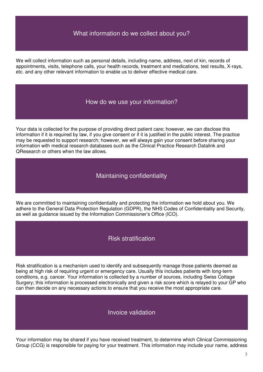#### What information do we collect about you?

We will collect information such as personal details, including name, address, next of kin, records of appointments, visits, telephone calls, your health records, treatment and medications, test results, X-rays, etc. and any other relevant information to enable us to deliver effective medical care.

#### How do we use your information?

Your data is collected for the purpose of providing direct patient care; however, we can disclose this information if it is required by law, if you give consent or if it is justified in the public interest. The practice may be requested to support research; however, we will always gain your consent before sharing your information with medical research databases such as the Clinical Practice Research Datalink and QResearch or others when the law allows.

#### Maintaining confidentiality

We are committed to maintaining confidentiality and protecting the information we hold about you. We adhere to the General Data Protection Regulation (GDPR), the NHS Codes of Confidentiality and Security, as well as guidance issued by the Information Commissioner's Office (ICO).

#### Risk stratification

Risk stratification is a mechanism used to identify and subsequently manage those patients deemed as being at high risk of requiring urgent or emergency care. Usually this includes patients with long-term conditions, e.g. cancer. Your information is collected by a number of sources, including Swiss Cottage Surgery; this information is processed electronically and given a risk score which is relayed to your GP who can then decide on any necessary actions to ensure that you receive the most appropriate care.

#### Invoice validation

Your information may be shared if you have received treatment, to determine which Clinical Commissioning Group (CCG) is responsible for paying for your treatment. This information may include your name, address